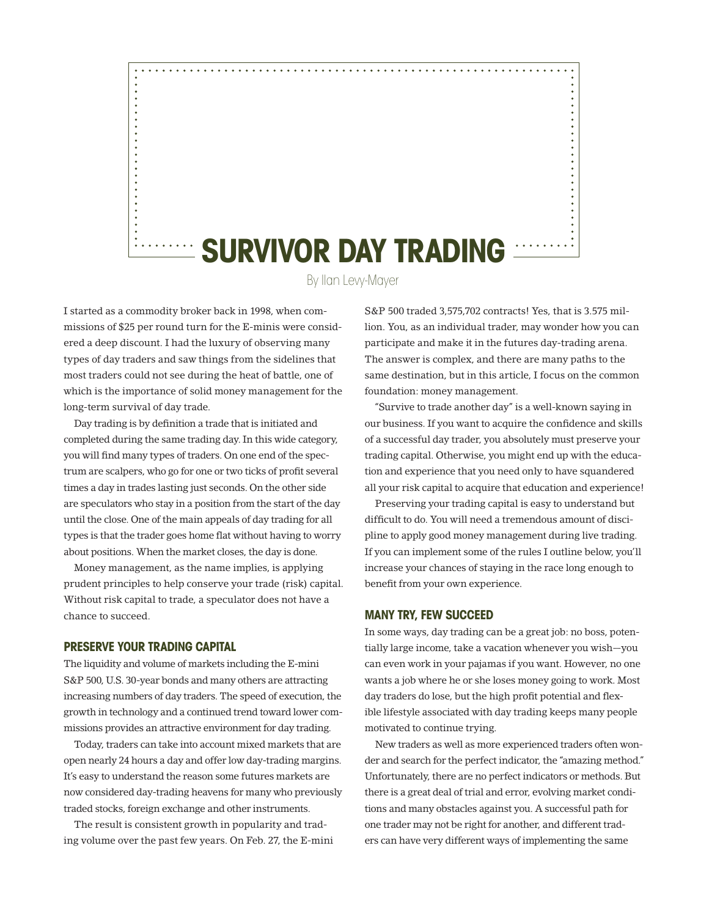

By Ilan Levy-Mayer

I started as a commodity broker back in 1998, when commissions of \$25 per round turn for the E-minis were considered a deep discount. I had the luxury of observing many types of day traders and saw things from the sidelines that most traders could not see during the heat of battle, one of which is the importance of solid money management for the long-term survival of day trade.

Day trading is by definition a trade that is initiated and completed during the same trading day. In this wide category, you will find many types of traders. On one end of the spectrum are scalpers, who go for one or two ticks of profit several times a day in trades lasting just seconds. On the other side are speculators who stay in a position from the start of the day until the close. One of the main appeals of day trading for all types is that the trader goes home flat without having to worry about positions. When the market closes, the day is done.

Money management, as the name implies, is applying prudent principles to help conserve your trade (risk) capital. Without risk capital to trade, a speculator does not have a chance to succeed.

# **Preserve Your Trading Capital**

The liquidity and volume of markets including the E-mini S&P 500, U.S. 30-year bonds and many others are attracting increasing numbers of day traders. The speed of execution, the growth in technology and a continued trend toward lower commissions provides an attractive environment for day trading.

Today, traders can take into account mixed markets that are open nearly 24 hours a day and offer low day-trading margins. It's easy to understand the reason some futures markets are now considered day-trading heavens for many who previously traded stocks, foreign exchange and other instruments.

The result is consistent growth in popularity and trading volume over the past few years. On Feb. 27, the E-mini S&P 500 traded 3,575,702 contracts! Yes, that is 3.575 million. You, as an individual trader, may wonder how you can participate and make it in the futures day-trading arena. The answer is complex, and there are many paths to the same destination, but in this article, I focus on the common foundation: money management.

"Survive to trade another day" is a well-known saying in our business. If you want to acquire the confidence and skills of a successful day trader, you absolutely must preserve your trading capital. Otherwise, you might end up with the education and experience that you need only to have squandered all your risk capital to acquire that education and experience!

Preserving your trading capital is easy to understand but difficult to do. You will need a tremendous amount of discipline to apply good money management during live trading. If you can implement some of the rules I outline below, you'll increase your chances of staying in the race long enough to benefit from your own experience.

# **Many Try, Few Succeed**

In some ways, day trading can be a great job: no boss, potentially large income, take a vacation whenever you wish—you can even work in your pajamas if you want. However, no one wants a job where he or she loses money going to work. Most day traders do lose, but the high profit potential and flexible lifestyle associated with day trading keeps many people motivated to continue trying.

New traders as well as more experienced traders often wonder and search for the perfect indicator, the "amazing method." Unfortunately, there are no perfect indicators or methods. But there is a great deal of trial and error, evolving market conditions and many obstacles against you. A successful path for one trader may not be right for another, and different traders can have very different ways of implementing the same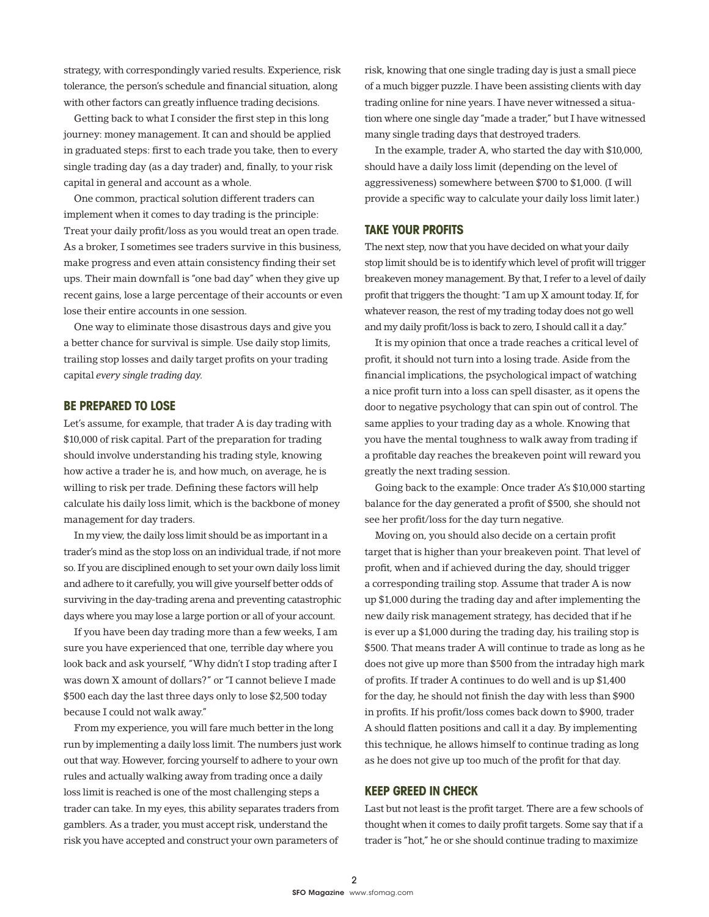strategy, with correspondingly varied results. Experience, risk tolerance, the person's schedule and financial situation, along with other factors can greatly influence trading decisions.

Getting back to what I consider the first step in this long journey: money management. It can and should be applied in graduated steps: first to each trade you take, then to every single trading day (as a day trader) and, finally, to your risk capital in general and account as a whole.

One common, practical solution different traders can implement when it comes to day trading is the principle: Treat your daily profit/loss as you would treat an open trade. As a broker, I sometimes see traders survive in this business, make progress and even attain consistency finding their set ups. Their main downfall is "one bad day" when they give up recent gains, lose a large percentage of their accounts or even lose their entire accounts in one session.

One way to eliminate those disastrous days and give you a better chance for survival is simple. Use daily stop limits, trailing stop losses and daily target profits on your trading capital *every single trading day*.

### **Be Prepared to Lose**

Let's assume, for example, that trader A is day trading with \$10,000 of risk capital. Part of the preparation for trading should involve understanding his trading style, knowing how active a trader he is, and how much, on average, he is willing to risk per trade. Defining these factors will help calculate his daily loss limit, which is the backbone of money management for day traders.

In my view, the daily loss limit should be as important in a trader's mind as the stop loss on an individual trade, if not more so. If you are disciplined enough to set your own daily loss limit and adhere to it carefully, you will give yourself better odds of surviving in the day-trading arena and preventing catastrophic days where you may lose a large portion or all of your account.

If you have been day trading more than a few weeks, I am sure you have experienced that one, terrible day where you look back and ask yourself, "Why didn't I stop trading after I was down X amount of dollars?" or "I cannot believe I made \$500 each day the last three days only to lose \$2,500 today because I could not walk away."

From my experience, you will fare much better in the long run by implementing a daily loss limit. The numbers just work out that way. However, forcing yourself to adhere to your own rules and actually walking away from trading once a daily loss limit is reached is one of the most challenging steps a trader can take. In my eyes, this ability separates traders from gamblers. As a trader, you must accept risk, understand the risk you have accepted and construct your own parameters of

risk, knowing that one single trading day is just a small piece of a much bigger puzzle. I have been assisting clients with day trading online for nine years. I have never witnessed a situation where one single day "made a trader," but I have witnessed many single trading days that destroyed traders.

In the example, trader A, who started the day with \$10,000, should have a daily loss limit (depending on the level of aggressiveness) somewhere between \$700 to \$1,000. (I will provide a specific way to calculate your daily loss limit later.)

## **Take Your Profits**

The next step, now that you have decided on what your daily stop limit should be is to identify which level of profit will trigger breakeven money management. By that, I refer to a level of daily profit that triggers the thought: "I am up X amount today. If, for whatever reason, the rest of my trading today does not go well and my daily profit/loss is back to zero, I should call it a day."

It is my opinion that once a trade reaches a critical level of profit, it should not turn into a losing trade. Aside from the financial implications, the psychological impact of watching a nice profit turn into a loss can spell disaster, as it opens the door to negative psychology that can spin out of control. The same applies to your trading day as a whole. Knowing that you have the mental toughness to walk away from trading if a profitable day reaches the breakeven point will reward you greatly the next trading session.

Going back to the example: Once trader A's \$10,000 starting balance for the day generated a profit of \$500, she should not see her profit/loss for the day turn negative.

Moving on, you should also decide on a certain profit target that is higher than your breakeven point. That level of profit, when and if achieved during the day, should trigger a corresponding trailing stop. Assume that trader A is now up \$1,000 during the trading day and after implementing the new daily risk management strategy, has decided that if he is ever up a \$1,000 during the trading day, his trailing stop is \$500. That means trader A will continue to trade as long as he does not give up more than \$500 from the intraday high mark of profits. If trader A continues to do well and is up \$1,400 for the day, he should not finish the day with less than \$900 in profits. If his profit/loss comes back down to \$900, trader A should flatten positions and call it a day. By implementing this technique, he allows himself to continue trading as long as he does not give up too much of the profit for that day.

#### **Keep Greed in Check**

Last but not least is the profit target. There are a few schools of thought when it comes to daily profit targets. Some say that if a trader is "hot," he or she should continue trading to maximize